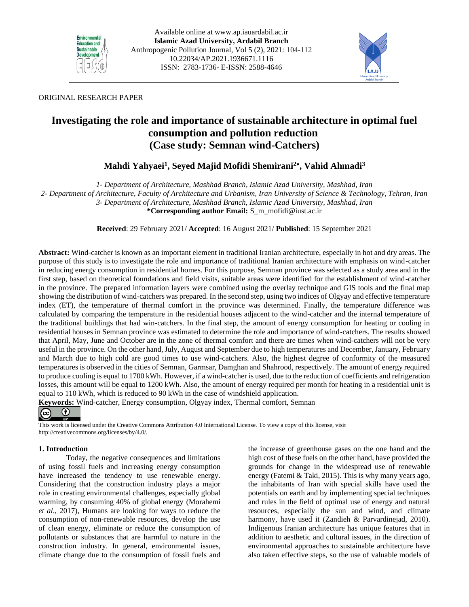



## ORIGINAL RESEARCH PAPER

# **Investigating the role and importance of sustainable architecture in optimal fuel consumption and pollution reduction (Case study: Semnan wind-Catchers)**

## $\mathbf{M}$ ahdi Yahyaei<sup>1</sup>, Seyed Majid Mofidi Shemirani<sup>2</sup>\*, Vahid Ahmadi<sup>3</sup>

*1- Department of Architecture, Mashhad Branch, Islamic Azad University, Mashhad, Iran*

*2- Department of Architecture, Faculty of Architecture and Urbanism, Iran University of Science & Technology, Tehran, Iran 3- Department of Architecture, Mashhad Branch, Islamic Azad University, Mashhad, Iran*

**\*Corresponding author Email:** S\_m\_mofidi@iust.ac.ir

**Received**: 29 February 2021/ **Accepted**: 16 August 2021/ **Published**: 15 September 2021

**Abstract:** Wind-catcher is known as an important element in traditional Iranian architecture, especially in hot and dry areas. The purpose of this study is to investigate the role and importance of traditional Iranian architecture with emphasis on wind-catcher in reducing energy consumption in residential homes. For this purpose, Semnan province was selected as a study area and in the first step, based on theoretical foundations and field visits, suitable areas were identified for the establishment of wind-catcher in the province. The prepared information layers were combined using the overlay technique and GIS tools and the final map showing the distribution of wind-catchers was prepared. In the second step, using two indices of Olgyay and effective temperature index (ET), the temperature of thermal comfort in the province was determined. Finally, the temperature difference was calculated by comparing the temperature in the residential houses adjacent to the wind-catcher and the internal temperature of the traditional buildings that had win-catchers. In the final step, the amount of energy consumption for heating or cooling in residential houses in Semnan province was estimated to determine the role and importance of wind-catchers. The results showed that April, May, June and October are in the zone of thermal comfort and there are times when wind-catchers will not be very useful in the province. On the other hand, July, August and September due to high temperatures and December, January, February and March due to high cold are good times to use wind-catchers. Also, the highest degree of conformity of the measured temperatures is observed in the cities of Semnan, Garmsar, Damghan and Shahrood, respectively. The amount of energy required to produce cooling is equal to 1700 kWh. However, if a wind-catcher is used, due to the reduction of coefficients and refrigeration losses, this amount will be equal to 1200 kWh. Also, the amount of energy required per month for heating in a residential unit is equal to 110 kWh, which is reduced to 90 kWh in the case of windshield application.

**Keywords:** Wind-catcher, Energy consumption, Olgyay index, Thermal comfort, Semnan



This work is licensed under the Creative Commons Attribution 4.0 International License. To view a copy of this license, visit http://creativecommons.org/licenses/by/4.0/.

## **1. Introduction**

Today, the negative consequences and limitations of using fossil fuels and increasing energy consumption have increased the tendency to use renewable energy. Considering that the construction industry plays a major role in creating environmental challenges, especially global warming, by consuming 40% of global energy (Morahemi *et al*., 2017), Humans are looking for ways to reduce the consumption of non-renewable resources, develop the use of clean energy, eliminate or reduce the consumption of pollutants or substances that are harmful to nature in the construction industry. In general, environmental issues, climate change due to the consumption of fossil fuels and the increase of greenhouse gases on the one hand and the high cost of these fuels on the other hand, have provided the grounds for change in the widespread use of renewable energy (Fatemi & Taki, 2015). This is why many years ago, the inhabitants of Iran with special skills have used the potentials on earth and by implementing special techniques and rules in the field of optimal use of energy and natural resources, especially the sun and wind, and climate harmony, have used it (Zandieh & Parvardinejad, 2010). Indigenous Iranian architecture has unique features that in addition to aesthetic and cultural issues, in the direction of environmental approaches to sustainable architecture have also taken effective steps, so the use of valuable models of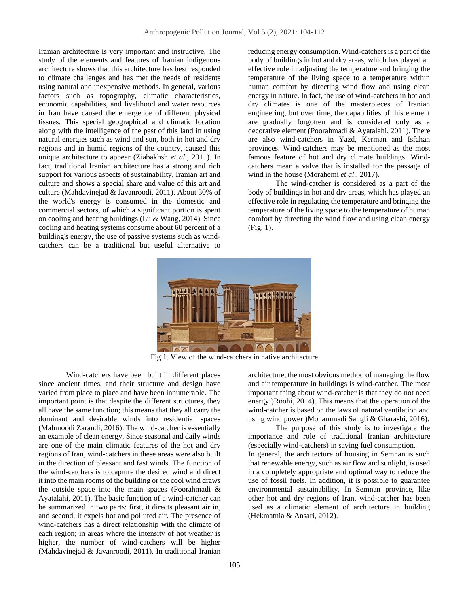Iranian architecture is very important and instructive. The study of the elements and features of Iranian indigenous architecture shows that this architecture has best responded to climate challenges and has met the needs of residents using natural and inexpensive methods. In general, various factors such as topography, climatic characteristics, economic capabilities, and livelihood and water resources in Iran have caused the emergence of different physical tissues. This special geographical and climatic location along with the intelligence of the past of this land in using natural energies such as wind and sun, both in hot and dry regions and in humid regions of the country, caused this unique architecture to appear (Ziabakhsh *et al*., 2011). In fact, traditional Iranian architecture has a strong and rich support for various aspects of sustainability, Iranian art and culture and shows a special share and value of this art and culture (Mahdavinejad & Javanroodi, 2011). About 30% of the world's energy is consumed in the domestic and commercial sectors, of which a significant portion is spent on cooling and heating buildings (Lu & Wang, 2014). Since cooling and heating systems consume about 60 percent of a building's energy, the use of passive systems such as windcatchers can be a traditional but useful alternative to reducing energy consumption. Wind-catchers is a part of the body of buildings in hot and dry areas, which has played an effective role in adjusting the temperature and bringing the temperature of the living space to a temperature within human comfort by directing wind flow and using clean energy in nature. In fact, the use of wind-catchers in hot and dry climates is one of the masterpieces of Iranian engineering, but over time, the capabilities of this element are gradually forgotten and is considered only as a decorative element (Poorahmadi & Ayatalahi, 2011). There are also wind-catchers in Yazd, Kerman and Isfahan provinces. Wind-catchers may be mentioned as the most famous feature of hot and dry climate buildings. Windcatchers mean a valve that is installed for the passage of wind in the house (Morahemi *et al*., 2017).

The wind-catcher is considered as a part of the body of buildings in hot and dry areas, which has played an effective role in regulating the temperature and bringing the temperature of the living space to the temperature of human comfort by directing the wind flow and using clean energy (Fig. 1).



Fig 1. View of the wind-catchers in native architecture

Wind-catchers have been built in different places since ancient times, and their structure and design have varied from place to place and have been innumerable. The important point is that despite the different structures, they all have the same function; this means that they all carry the dominant and desirable winds into residential spaces (Mahmoodi Zarandi, 2016). The wind-catcher is essentially an example of clean energy. Since seasonal and daily winds are one of the main climatic features of the hot and dry regions of Iran, wind-catchers in these areas were also built in the direction of pleasant and fast winds. The function of the wind-catchers is to capture the desired wind and direct it into the main rooms of the building or the cool wind draws the outside space into the main spaces (Poorahmadi & Ayatalahi, 2011). The basic function of a wind-catcher can be summarized in two parts: first, it directs pleasant air in, and second, it expels hot and polluted air. The presence of wind-catchers has a direct relationship with the climate of each region; in areas where the intensity of hot weather is higher, the number of wind-catchers will be higher (Mahdavinejad & Javanroodi, 2011). In traditional Iranian architecture, the most obvious method of managing the flow and air temperature in buildings is wind-catcher. The most important thing about wind-catcher is that they do not need energy )Roohi, 2014). This means that the operation of the wind-catcher is based on the laws of natural ventilation and using wind power )Mohammadi Sangli & Gharashi, 2016).

The purpose of this study is to investigate the importance and role of traditional Iranian architecture (especially wind-catchers) in saving fuel consumption. In general, the architecture of housing in Semnan is such that renewable energy, such as air flow and sunlight, is used in a completely appropriate and optimal way to reduce the use of fossil fuels. In addition, it is possible to guarantee environmental sustainability. In Semnan province, like other hot and dry regions of Iran, wind-catcher has been used as a climatic element of architecture in building (Hekmatnia & Ansari, 2012) .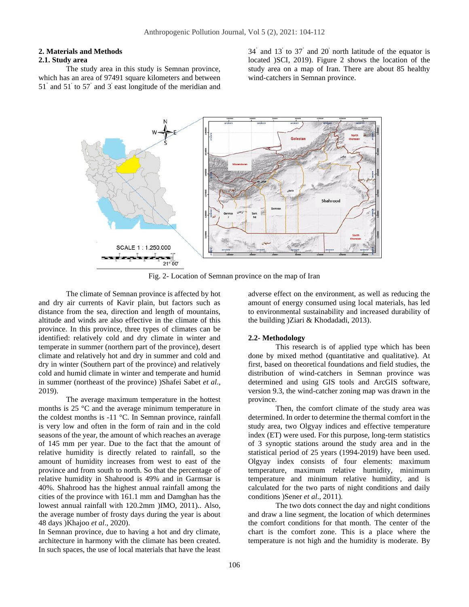## **2. Materials and Methods**

## **2.1. Study area**

The study area in this study is Semnan province, which has an area of 97491 square kilometers and between 51˚ and 51' to 57˚ and 3' east longitude of the meridian and

34˚ and 13' to 37˚ and 20' north latitude of the equator is located )SCI, 2019). Figure 2 shows the location of the study area on a map of Iran. There are about 85 healthy wind-catchers in Semnan province.



Fig. 2- Location of Semnan province on the map of Iran

The climate of Semnan province is affected by hot and dry air currents of Kavir plain, but factors such as distance from the sea, direction and length of mountains, altitude and winds are also effective in the climate of this province. In this province, three types of climates can be identified: relatively cold and dry climate in winter and temperate in summer (northern part of the province), desert climate and relatively hot and dry in summer and cold and dry in winter (Southern part of the province) and relatively cold and humid climate in winter and temperate and humid in summer (northeast of the province) )Shafei Sabet *et al*., 2019).

The average maximum temperature in the hottest months is 25 °C and the average minimum temperature in the coldest months is -11 °C. In Semnan province, rainfall is very low and often in the form of rain and in the cold seasons of the year, the amount of which reaches an average of 145 mm per year. Due to the fact that the amount of relative humidity is directly related to rainfall, so the amount of humidity increases from west to east of the province and from south to north. So that the percentage of relative humidity in Shahrood is 49% and in Garmsar is 40%. Shahrood has the highest annual rainfall among the cities of the province with 161.1 mm and Damghan has the lowest annual rainfall with 120.2mm )IMO, 2011).. Also, the average number of frosty days during the year is about 48 days )Khajoo *et al*., 2020).

In Semnan province, due to having a hot and dry climate, architecture in harmony with the climate has been created. In such spaces, the use of local materials that have the least adverse effect on the environment, as well as reducing the amount of energy consumed using local materials, has led to environmental sustainability and increased durability of the building )Ziari & Khodadadi, 2013).

#### **2.2- Methodology**

This research is of applied type which has been done by mixed method (quantitative and qualitative). At first, based on theoretical foundations and field studies, the distribution of wind-catchers in Semnan province was determined and using GIS tools and ArcGIS software, version 9.3, the wind-catcher zoning map was drawn in the province.

Then, the comfort climate of the study area was determined. In order to determine the thermal comfort in the study area, two Olgyay indices and effective temperature index (ET) were used. For this purpose, long-term statistics of 3 synoptic stations around the study area and in the statistical period of 25 years (1994-2019) have been used. Olgyay index consists of four elements: maximum temperature, maximum relative humidity, minimum temperature and minimum relative humidity, and is calculated for the two parts of night conditions and daily conditions )Sener *et al*., 2011).

The two dots connect the day and night conditions and draw a line segment, the location of which determines the comfort conditions for that month. The center of the chart is the comfort zone. This is a place where the temperature is not high and the humidity is moderate. By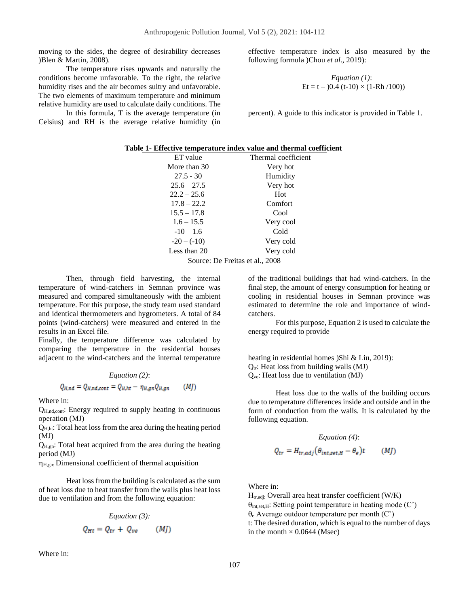moving to the sides, the degree of desirability decreases )Blen & Martin, 2008) .

The temperature rises upwards and naturally the conditions become unfavorable. To the right, the relative humidity rises and the air becomes sultry and unfavorable. The two elements of maximum temperature and minimum relative humidity are used to calculate daily conditions. The

In this formula, T is the average temperature (in Celsius) and RH is the average relative humidity (in effective temperature index is also measured by the following formula )Chou *et al*., 2019):

 *Equation (1)*: Et = t – )0.4 (t-10) × (1-Rh /100))

percent). A guide to this indicator is provided in Table 1.

| Table 1- Effective temperature index value and thermal coefficient |  |
|--------------------------------------------------------------------|--|
|--------------------------------------------------------------------|--|

| ET value      | Thermal coefficient |
|---------------|---------------------|
| More than 30  | Very hot            |
| $27.5 - 30$   | Humidity            |
| $25.6 - 27.5$ | Very hot            |
| $22.2 - 25.6$ | Hot                 |
| $17.8 - 22.2$ | Comfort             |
| $15.5 - 17.8$ | Cool                |
| $1.6 - 15.5$  | Very cool           |
| $-10-1.6$     | Cold                |
| $-20 - (-10)$ | Very cold           |
| Less than 20  | Very cold           |
| $\sim$ $\sim$ | $P P \sim 1.2000$   |

Source: De Freitas et al., 2008

Then, through field harvesting, the internal temperature of wind-catchers in Semnan province was measured and compared simultaneously with the ambient temperature. For this purpose, the study team used standard and identical thermometers and hygrometers. A total of 84 points (wind-catchers) were measured and entered in the results in an Excel file.

Finally, the temperature difference was calculated by comparing the temperature in the residential houses adjacent to the wind-catchers and the internal temperature

*Equation (2)*:

$$
Q_{H,nd} = Q_{H,nd,cont} = Q_{H,ht} - \eta_{H,gn} Q_{H,gn} \qquad (M)
$$

Where in:

QH,nd,cont: Energy required to supply heating in continuous operation (MJ)

QH,ht: Total heat loss from the area during the heating period (MJ)

 $Q_{H,gn}$ : Total heat acquired from the area during the heating period (MJ)

 $\eta_{H,gn}$ : Dimensional coefficient of thermal acquisition

Heat loss from the building is calculated as the sum of heat loss due to heat transfer from the walls plus heat loss due to ventilation and from the following equation:

$$
Equation (3):
$$
  

$$
Q_{Ht} = Q_{tr} + Q_{ve} \qquad (MJ)
$$

Where in:

of the traditional buildings that had wind-catchers. In the final step, the amount of energy consumption for heating or cooling in residential houses in Semnan province was estimated to determine the role and importance of windcatchers.

For this purpose, Equation 2 is used to calculate the energy required to provide

heating in residential homes )Shi & Liu, 2019):  $Q_{tr}$ : Heat loss from building walls (MJ) Qve: Heat loss due to ventilation (MJ)

Heat loss due to the walls of the building occurs due to temperature differences inside and outside and in the form of conduction from the walls. It is calculated by the following equation.

$$
Equation (4):
$$
  

$$
Q_{tr} = H_{tr,adj}(\theta_{int, set, H} - \theta_e)t
$$
 (MJ)

Where in:

 $H_{tr,adj}$ : Overall area heat transfer coefficient (W/K)  $\theta_{\text{int},\text{set},H}$ : Setting point temperature in heating mode (C°)  $\theta_e$  Average outdoor temperature per month (C<sup>°</sup>) t: The desired duration, which is equal to the number of days in the month  $\times$  0.0644 (Msec)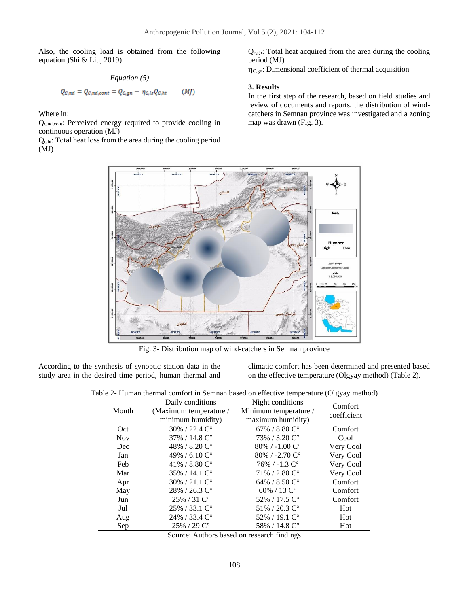Also, the cooling load is obtained from the following equation )Shi & Liu, 2019):

$$
Equation (5)
$$
  

$$
Q_{c,nd} = Q_{c,nd,cont} = Q_{c,gn} - \eta_{c,ls} Q_{c,ht}
$$
 (MJ)

Where in:

Qc,nd,cont: Perceived energy required to provide cooling in continuous operation (MJ)

Qc,ht: Total heat loss from the area during the cooling period (MJ)

Qc,gn: Total heat acquired from the area during the cooling period (MJ)

 $\eta_{C,gn}$ : Dimensional coefficient of thermal acquisition

#### **3. Results**

In the first step of the research, based on field studies and review of documents and reports, the distribution of windcatchers in Semnan province was investigated and a zoning map was drawn (Fig. 3).



Fig. 3- Distribution map of wind-catchers in Semnan province

According to the synthesis of synoptic station data in the study area in the desired time period, human thermal and climatic comfort has been determined and presented based on the effective temperature (Olgyay method) (Table 2).

|  |  |  |  |  |  |  | Table 2- Human thermal comfort in Semnan based on effective temperature (Olgyay method) |  |  |
|--|--|--|--|--|--|--|-----------------------------------------------------------------------------------------|--|--|
|--|--|--|--|--|--|--|-----------------------------------------------------------------------------------------|--|--|

| Month      | Daily conditions<br>(Maximum temperature /<br>minimum humidity) | Night conditions<br>Minimum temperature /<br>maximum humidity) | Comfort<br>coefficient |
|------------|-----------------------------------------------------------------|----------------------------------------------------------------|------------------------|
| Oct        | $30\%$ / 22.4 $C^{\circ}$                                       | 67% / 8.80 $C^{\circ}$                                         | Comfort                |
| <b>Nov</b> | 37% / 14.8 C°                                                   | 73% / 3.20 C°                                                  | Cool                   |
| Dec        | 48% / 8.20 $C^{\circ}$                                          | $80\%$ / -1.00 $C^{\circ}$                                     | Very Cool              |
| Jan        | 49% / 6.10 $C^{\circ}$                                          | $80\%$ / -2.70 $C^{\circ}$                                     | Very Cool              |
| Feb        | 41% / 8.80 $C^{\circ}$                                          | $76\%$ / -1.3 $C^{\circ}$                                      | Very Cool              |
| Mar        | $35\% / 14.1 \degree$                                           | 71% / 2.80 C°                                                  | Very Cool              |
| Apr        | $30\% / 21.1 \degree$                                           | 64% / 8.50 $C^{\circ}$                                         | Comfort                |
| May        | 28% / 26.3 C°                                                   | 60% / 13 $C^{\circ}$                                           | Comfort                |
| Jun        | $25\% / 31 \degree$                                             | 52% / 17.5 C°                                                  | Comfort                |
| Jul        | $25\%$ / 33.1 $C^{\circ}$                                       | 51% / 20.3 C°                                                  | Hot                    |
| Aug        | 24% / 33.4 C°                                                   | 52% / 19.1 C°                                                  | Hot                    |
| Sep        | $25\%$ / 29 $C^{\circ}$                                         | 58% / 14.8 C°                                                  | Hot                    |

Source: Authors based on research findings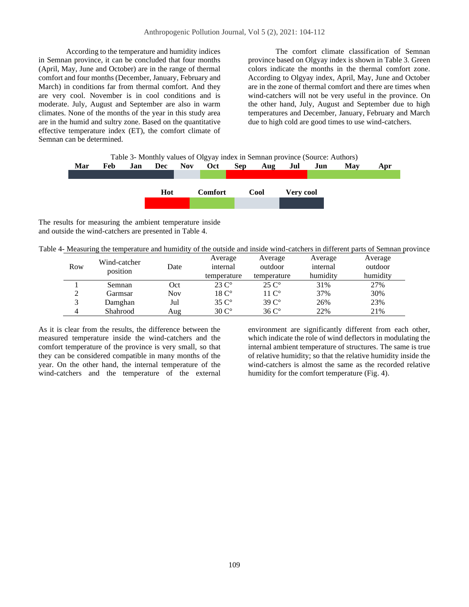According to the temperature and humidity indices in Semnan province, it can be concluded that four months (April, May, June and October) are in the range of thermal comfort and four months (December, January, February and March) in conditions far from thermal comfort. And they are very cool. November is in cool conditions and is moderate. July, August and September are also in warm climates. None of the months of the year in this study area are in the humid and sultry zone. Based on the quantitative effective temperature index (ET), the comfort climate of Semnan can be determined.

The comfort climate classification of Semnan province based on Olgyay index is shown in Table 3. Green colors indicate the months in the thermal comfort zone. According to Olgyay index, April, May, June and October are in the zone of thermal comfort and there are times when wind-catchers will not be very useful in the province. On the other hand, July, August and September due to high temperatures and December, January, February and March due to high cold are good times to use wind-catchers.

| Table 3- Monthly values of Olgyay index in Semnan province (Source: Authors) |     |     |     |            |                |            |      |           |     |     |     |
|------------------------------------------------------------------------------|-----|-----|-----|------------|----------------|------------|------|-----------|-----|-----|-----|
| Mar                                                                          | Feb | Jan | Dec | <b>Nov</b> | Oct            | <b>Sep</b> | Aug  | Jul       | Jun | Mav | Apr |
|                                                                              |     |     |     |            |                |            |      |           |     |     |     |
|                                                                              |     |     |     |            |                |            |      |           |     |     |     |
|                                                                              |     |     | Hot |            | <b>Comfort</b> |            | Cool | Very cool |     |     |     |
|                                                                              |     |     |     |            |                |            |      |           |     |     |     |
|                                                                              |     |     |     |            |                |            |      |           |     |     |     |

The results for measuring the ambient temperature inside and outside the wind-catchers are presented in Table 4.

|  | Table 4- Measuring the temperature and humidity of the outside and inside wind-catchers in different parts of Semnan province |  |  |  |
|--|-------------------------------------------------------------------------------------------------------------------------------|--|--|--|
|  |                                                                                                                               |  |  |  |

| Row           | Wind-catcher<br>position | Date       | Average<br>internal<br>temperature | Average<br>outdoor<br>temperature | Average<br>internal<br>humidity | Average<br>outdoor<br>humidity |
|---------------|--------------------------|------------|------------------------------------|-----------------------------------|---------------------------------|--------------------------------|
|               | Semnan                   | Oct        | $23\degree$                        | $25 \, \mathrm{C}^{\circ}$        | 31%                             | 27%                            |
| $\gamma$<br>↵ | Garmsar                  | <b>Nov</b> | $18C^{\circ}$                      | $11 \, \mathrm{C}^{\circ}$        | 37%                             | 30%                            |
| $\mathbf{R}$  | Damghan                  | Jul        | $35 \, \mathrm{C}^{\circ}$         | $39C^{\circ}$                     | 26%                             | 23%                            |
| 4             | Shahrood                 | Aug        | $30 \degree$                       | $36C^{\circ}$                     | 22%                             | 21%                            |

As it is clear from the results, the difference between the measured temperature inside the wind-catchers and the comfort temperature of the province is very small, so that they can be considered compatible in many months of the year. On the other hand, the internal temperature of the wind-catchers and the temperature of the external

environment are significantly different from each other, which indicate the role of wind deflectors in modulating the internal ambient temperature of structures. The same is true of relative humidity; so that the relative humidity inside the wind-catchers is almost the same as the recorded relative humidity for the comfort temperature (Fig. 4).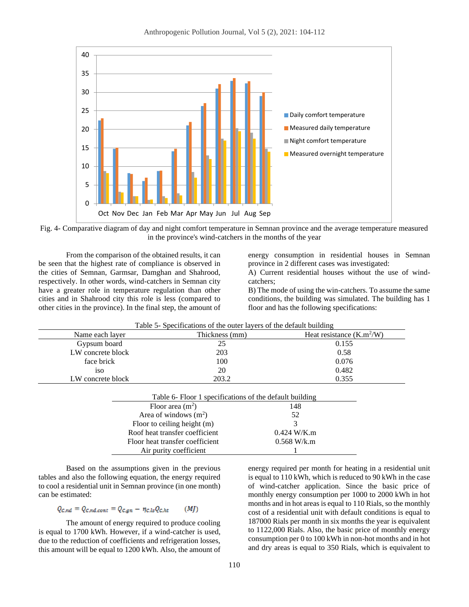

Fig. 4- Comparative diagram of day and night comfort temperature in Semnan province and the average temperature measured in the province's wind-catchers in the months of the year

From the comparison of the obtained results, it can be seen that the highest rate of compliance is observed in the cities of Semnan, Garmsar, Damghan and Shahrood, respectively. In other words, wind-catchers in Semnan city have a greater role in temperature regulation than other cities and in Shahrood city this role is less (compared to other cities in the province). In the final step, the amount of energy consumption in residential houses in Semnan province in 2 different cases was investigated:

A) Current residential houses without the use of windcatchers;

B) The mode of using the win-catchers. To assume the same conditions, the building was simulated. The building has 1 floor and has the following specifications:

| Table 5- Specifications of the outer layers of the default building |                             |  |  |  |  |  |  |
|---------------------------------------------------------------------|-----------------------------|--|--|--|--|--|--|
| Thickness (mm)                                                      | Heat resistance $(K.m^2/W)$ |  |  |  |  |  |  |
| 25                                                                  | 0.155                       |  |  |  |  |  |  |
| 203                                                                 | 0.58                        |  |  |  |  |  |  |
| 100                                                                 | 0.076                       |  |  |  |  |  |  |
| 20                                                                  | 0.482                       |  |  |  |  |  |  |
| 203.2                                                               | 0.355                       |  |  |  |  |  |  |
|                                                                     |                             |  |  |  |  |  |  |

|                                 | Table 6- Floor 1 specifications of the default building |  |  |  |  |  |  |
|---------------------------------|---------------------------------------------------------|--|--|--|--|--|--|
| Floor area $(m2)$               | 148                                                     |  |  |  |  |  |  |
| Area of windows $(m2)$          | 52                                                      |  |  |  |  |  |  |
| Floor to ceiling height $(m)$   | 3                                                       |  |  |  |  |  |  |
| Roof heat transfer coefficient  | $0.424$ W/K.m                                           |  |  |  |  |  |  |
| Floor heat transfer coefficient | $0.568$ W/k.m                                           |  |  |  |  |  |  |
| Air purity coefficient          |                                                         |  |  |  |  |  |  |

Based on the assumptions given in the previous tables and also the following equation, the energy required to cool a residential unit in Semnan province (in one month) can be estimated:

$$
Q_{c,nd} = Q_{c,nd,cont} = Q_{c,gn} - \eta_{c,ls} Q_{c,ht} \qquad (M)
$$

The amount of energy required to produce cooling is equal to 1700 kWh. However, if a wind-catcher is used, due to the reduction of coefficients and refrigeration losses, this amount will be equal to 1200 kWh. Also, the amount of energy required per month for heating in a residential unit is equal to 110 kWh, which is reduced to 90 kWh in the case of wind-catcher application. Since the basic price of monthly energy consumption per 1000 to 2000 kWh in hot months and in hot areas is equal to 110 Rials, so the monthly cost of a residential unit with default conditions is equal to 187000 Rials per month in six months the year is equivalent to 1122,000 Rials. Also, the basic price of monthly energy consumption per 0 to 100 kWh in non-hot months and in hot and dry areas is equal to 350 Rials, which is equivalent to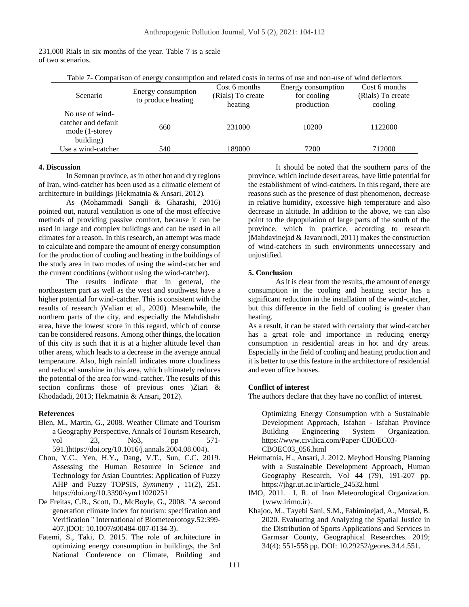| Table 7- Comparison of energy consumption and related costs in terms of use and non-use of wind deflectors |                                          |                   |                    |                   |  |  |  |  |
|------------------------------------------------------------------------------------------------------------|------------------------------------------|-------------------|--------------------|-------------------|--|--|--|--|
|                                                                                                            |                                          | Cost 6 months     | Energy consumption | Cost 6 months     |  |  |  |  |
| Scenario                                                                                                   | Energy consumption<br>to produce heating | (Rials) To create | for cooling        | (Rials) To create |  |  |  |  |
|                                                                                                            |                                          | heating           | production         | cooling           |  |  |  |  |
| No use of wind-<br>catcher and default<br>mode (1-storey<br>building)                                      | 660                                      | 231000            | 10200              | 1122000           |  |  |  |  |
| Use a wind-catcher                                                                                         | 540                                      | 189000            | 7200               | 712000            |  |  |  |  |

| 231,000 Rials in six months of the year. Table 7 is a scale |  |  |  |  |  |
|-------------------------------------------------------------|--|--|--|--|--|
| of two scenarios.                                           |  |  |  |  |  |

#### **4. Discussion**

In Semnan province, as in other hot and dry regions of Iran, wind-catcher has been used as a climatic element of architecture in buildings )Hekmatnia & Ansari, 2012) .

As (Mohammadi Sangli & Gharashi, 2016) pointed out, natural ventilation is one of the most effective methods of providing passive comfort, because it can be used in large and complex buildings and can be used in all climates for a reason. In this research, an attempt was made to calculate and compare the amount of energy consumption for the production of cooling and heating in the buildings of the study area in two modes of using the wind-catcher and the current conditions (without using the wind-catcher).

The results indicate that in general, the northeastern part as well as the west and southwest have a higher potential for wind-catcher. This is consistent with the results of research )Valian et al., 2020) . Meanwhile, the northern parts of the city, and especially the Mahdishahr area, have the lowest score in this regard, which of course can be considered reasons. Among other things, the location of this city is such that it is at a higher altitude level than other areas, which leads to a decrease in the average annual temperature. Also, high rainfall indicates more cloudiness and reduced sunshine in this area, which ultimately reduces the potential of the area for wind-catcher. The results of this section confirms those of previous ones )Ziari & Khodadadi, 2013; Hekmatnia & Ansari, 2012).

#### **References**

- Blen, M., Martin, G., 2008. Weather Climate and Tourism a Geography Perspective, Annals of Tourism Research, vol 23, No3, pp 571-591.[\)https://doi.org/10.1016/j.annals.2004.08.004\)](https://doi.org/10.1016/j.annals.2004.08.004).
- Chou, Y.C., Yen, H.Y., Dang, V.T., Sun, C.C. 2019. Assessing the Human Resource in Science and Technology for Asian Countries: Application of Fuzzy AHP and Fuzzy TOPSIS, *Symmetry* , 11(2), 251. <https://doi.org/10.3390/sym11020251>
- De Freitas, C.R., Scott, D., McBoyle, G., 2008. "A second generation climate index for tourism: specification and Verification " International of Biometeorotogy.52:399- 407.)DOI: 10.1007/s00484-007-0134-3).
- Fatemi, S., Taki, D. 2015. The role of architecture in optimizing energy consumption in buildings, the 3rd National Conference on Climate, Building and

It should be noted that the southern parts of the province, which include desert areas, have little potential for the establishment of wind-catchers. In this regard, there are reasons such as the presence of dust phenomenon, decrease in relative humidity, excessive high temperature and also decrease in altitude. In addition to the above, we can also point to the depopulation of large parts of the south of the province, which in practice, according to research )Mahdavinejad & Javanroodi, 2011) makes the construction of wind-catchers in such environments unnecessary and unjustified.

#### **5. Conclusion**

As it is clear from the results, the amount of energy consumption in the cooling and heating sector has a significant reduction in the installation of the wind-catcher, but this difference in the field of cooling is greater than heating.

As a result, it can be stated with certainty that wind-catcher has a great role and importance in reducing energy consumption in residential areas in hot and dry areas. Especially in the field of cooling and heating production and it is better to use this feature in the architecture of residential and even office houses.

### **Conflict of interest**

The authors declare that they have no conflict of interest.

Optimizing Energy Consumption with a Sustainable Development Approach, Isfahan - Isfahan Province Building Engineering System Organization. https://www.civilica.com/Paper-CBOEC03- CBOEC03\_056.html

- Hekmatnia, H., Ansari, J. 2012. Meybod Housing Planning with a Sustainable Development Approach, Human Geography Research, Vol 44 (79), 191-207 pp. [https://jhgr.ut.ac.ir/article\\_24532.html](https://jhgr.ut.ac.ir/article_24532.html)
- IMO, 2011. I. R. of Iran Meteorological Organization. {www.irimo.ir}.
- Khajoo, M., Tayebi Sani, S.M., Fahiminejad, A., Morsal, B. 2020. Evaluating and Analyzing the Spatial Justice in the Distribution of Sports Applications and Services in Garmsar County, Geographical Researches. 2019; 34(4): 551-558 pp. DOI: 10.29252/geores.34.4.551.